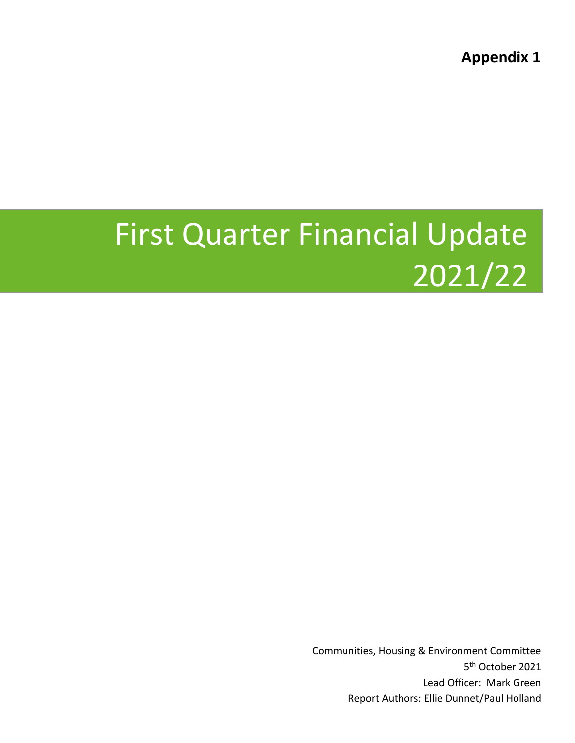**Appendix 1**

# First Quarter Financial Update 2021/22

Communities, Housing & Environment Committee 5<sup>th</sup> October 2021 Lead Officer: Mark Green Report Authors: Ellie Dunnet/Paul Holland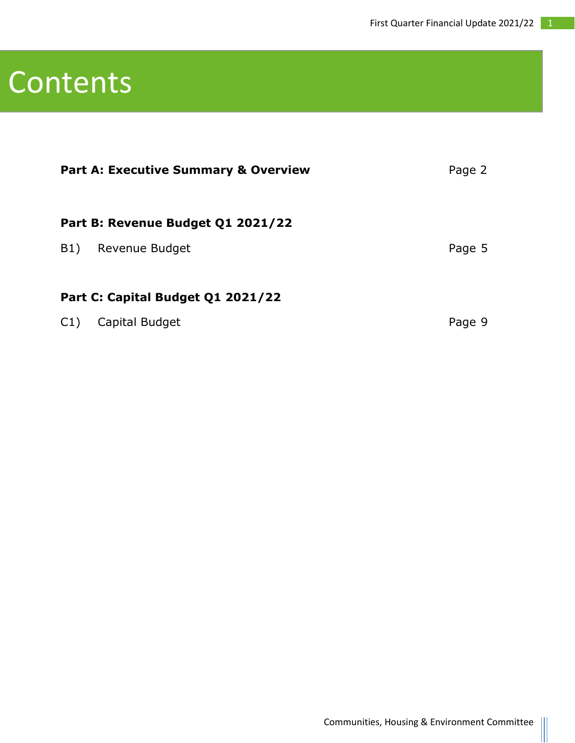### Contents

| <b>Part A: Executive Summary &amp; Overview</b> | Page 2 |
|-------------------------------------------------|--------|
| Part B: Revenue Budget Q1 2021/22               |        |
| Revenue Budget<br>B1)                           | Page 5 |
| Part C: Capital Budget Q1 2021/22               |        |
| Capital Budget<br>C1)                           | Page 9 |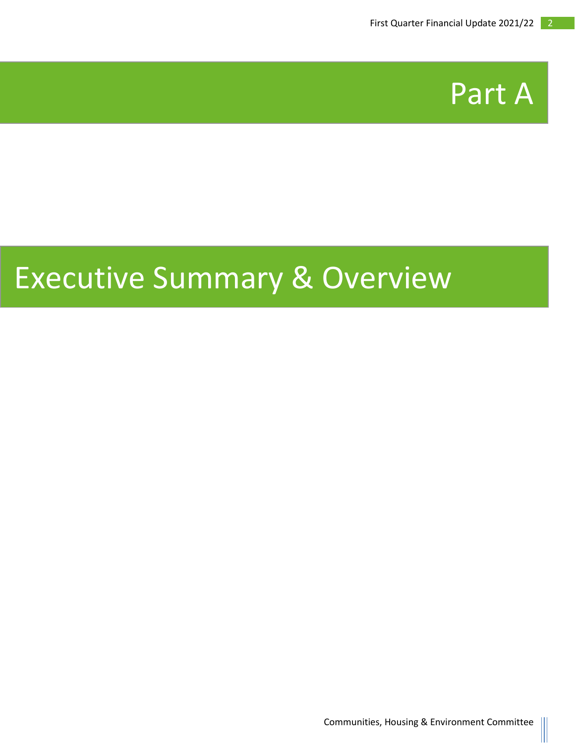

## Executive Summary & Overview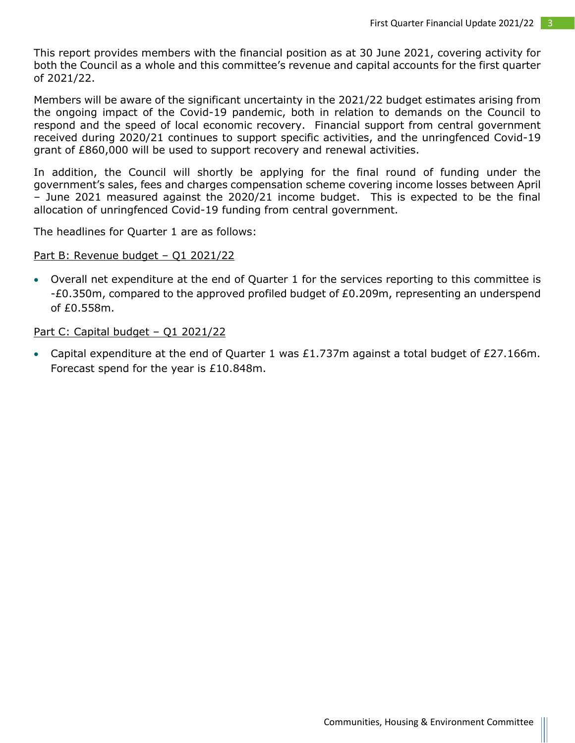This report provides members with the financial position as at 30 June 2021, covering activity for both the Council as a whole and this committee's revenue and capital accounts for the first quarter of 2021/22.

Members will be aware of the significant uncertainty in the 2021/22 budget estimates arising from the ongoing impact of the Covid-19 pandemic, both in relation to demands on the Council to respond and the speed of local economic recovery. Financial support from central government received during 2020/21 continues to support specific activities, and the unringfenced Covid-19 grant of £860,000 will be used to support recovery and renewal activities.

In addition, the Council will shortly be applying for the final round of funding under the government's sales, fees and charges compensation scheme covering income losses between April – June 2021 measured against the 2020/21 income budget. This is expected to be the final allocation of unringfenced Covid-19 funding from central government.

The headlines for Quarter 1 are as follows:

#### Part B: Revenue budget - Q1 2021/22

• Overall net expenditure at the end of Quarter 1 for the services reporting to this committee is -£0.350m, compared to the approved profiled budget of £0.209m, representing an underspend of £0.558m.

#### Part C: Capital budget - Q1 2021/22

• Capital expenditure at the end of Quarter 1 was £1.737m against a total budget of £27.166m. Forecast spend for the year is £10.848m.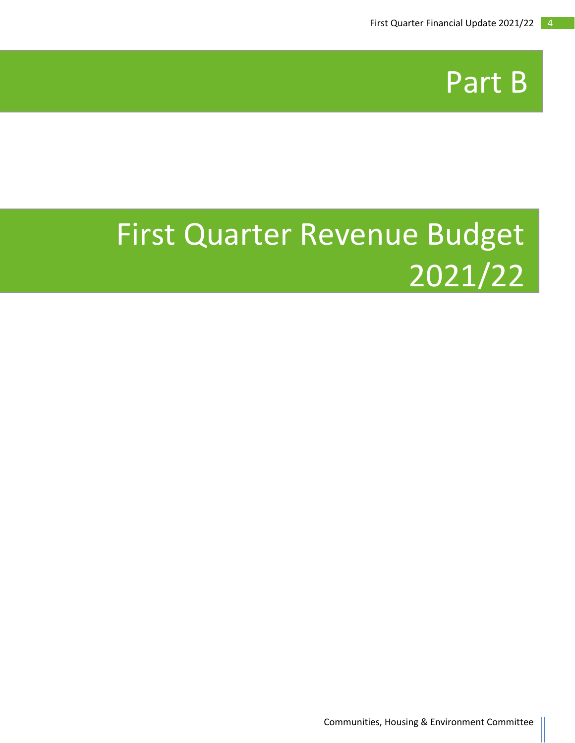

# First Quarter Revenue Budget 2021/22

•

Communities, Housing & Environment Committee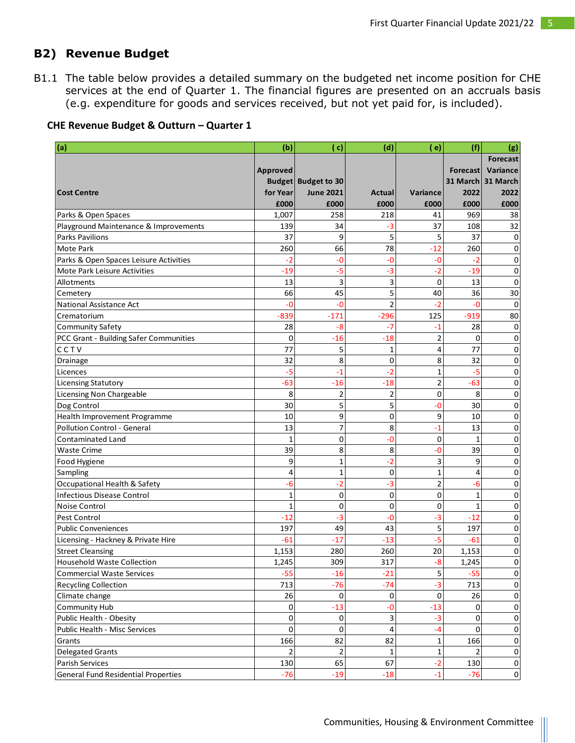### **B2) Revenue Budget**

B1.1 The table below provides a detailed summary on the budgeted net income position for CHE services at the end of Quarter 1. The financial figures are presented on an accruals basis (e.g. expenditure for goods and services received, but not yet paid for, is included).

| CHE Revenue Budget & Outturn - Quarter 1 |  |
|------------------------------------------|--|
|                                          |  |

| Variance<br>Approved<br><b>Forecast</b><br><b>Budget Budget to 30</b><br>31 March 31 March<br>for Year<br><b>June 2021</b><br>Variance<br>2022<br>2022<br><b>Cost Centre</b><br>Actual<br>£000<br>£000<br>£000<br>£000<br>£000<br>£000<br>258<br>218<br>969<br>Parks & Open Spaces<br>1,007<br>41<br>38<br>139<br>34<br>37<br>108<br>32<br>Playground Maintenance & Improvements<br>-3<br>37<br>5<br>5<br>37<br><b>Parks Pavilions</b><br>9<br>0<br>78<br><b>Mote Park</b><br>260<br>66<br>$-12$<br>260<br>0<br>Parks & Open Spaces Leisure Activities<br>$-2$<br>-0<br>-0<br>-0<br>-2<br>0<br>$-5$<br>Mote Park Leisure Activities<br>$-19$<br>-3<br>$-2$<br>$-19$<br>0<br>3<br>13<br>3<br>0<br>13<br>0<br>Allotments<br>5<br>45<br>30<br>66<br>40<br>36<br>Cemetery<br>$\overline{2}$<br>$-2$<br>National Assistance Act<br>-0<br>-0<br>-0<br>0<br>$-839$<br>$-171$<br>$-296$<br>125<br>$-919$<br>80<br>Crematorium<br>28<br>28<br><b>Community Safety</b><br>-8<br>-7<br>$-1$<br>0<br>PCC Grant - Building Safer Communities<br>$\mathbf 0$<br>$-16$<br>$-18$<br>$\overline{2}$<br>0<br>0<br>CCTV<br>77<br>5<br>77<br>1<br>4<br>0<br>8<br>32<br>0<br>8<br>32<br>0<br>Drainage<br>$-2$<br>$-5$<br>$\mathbf 1$<br>$-5$<br>0<br>$-1$<br>Licences<br>$\overline{2}$<br>$-63$<br>$-16$<br>$-18$<br>$-63$<br>0<br><b>Licensing Statutory</b><br>8<br>$\overline{2}$<br>$\overline{2}$<br>0<br>8<br>0<br><b>Licensing Non Chargeable</b><br>5<br>5<br>Dog Control<br>30<br>30<br>0<br>-0<br>9<br>$\mathbf 0$<br>Health Improvement Programme<br>10<br>9<br>10<br>0<br>$\overline{7}$<br>Pollution Control - General<br>8<br>13<br>13<br>-1<br>0<br>$\mathbf 0$<br>-0<br>0<br>0<br><b>Contaminated Land</b><br>1<br>$\mathbf{1}$<br>8<br>8<br>39<br>-0<br>39<br>0<br><b>Waste Crime</b><br>$-2$<br>9<br>3<br>1<br>9<br>0<br>Food Hygiene<br>4<br>1<br>$\mathbf 0$<br>$\mathbf 1$<br>Sampling<br>4<br>0<br>$-2$<br>$-3$<br>$\overline{2}$<br>Occupational Health & Safety<br>-6<br>0<br>-6<br>$\mathbf 0$<br>$\mathbf 0$<br>0<br><b>Infectious Disease Control</b><br>1<br>1<br>0<br>0<br>0<br>0<br><b>Noise Control</b><br>1<br>0<br>1<br>$-12$<br>-3<br>-3<br>$-12$<br><b>Pest Control</b><br>-0<br>0<br>5<br>49<br>43<br>197<br><b>Public Conveniences</b><br>197<br>0<br>$-5$<br>-61<br>$-17$<br>$-13$<br>-61<br>0<br>Licensing - Hackney & Private Hire<br>280<br>260<br>20<br>0<br><b>Street Cleansing</b><br>1,153<br>1,153<br>309<br>317<br>$-8$<br>0<br>1,245<br>1.245<br><b>Household Waste Collection</b><br>5<br>$-55$<br>$-21$<br>$-55$<br>$\pmb{0}$<br><b>Commercial Waste Services</b><br>$-16$<br>713<br>$-76$<br>$-74$<br>$-3$<br>713<br><b>Recycling Collection</b><br>0<br>26<br>Climate change<br>0<br>0<br>0<br>26<br>0<br>Community Hub<br>0<br>$-13$<br>-0<br>$-13$<br>0<br>0<br>0<br>3<br>Public Health - Obesity<br>0<br>$-3$<br>0<br>0<br>0<br>4<br>0<br>0<br>Public Health - Misc Services<br>-4<br>0<br>166<br>82<br>82<br>Grants<br>166<br>$\pmb{0}$<br>1<br>$\mathbf 2$<br><b>Delegated Grants</b><br>$\mathbf 1$<br>$\pmb{0}$<br>2<br>1<br>2<br>67<br>$-2$<br>130<br>65<br>$\pmb{0}$<br>Parish Services<br>130<br><b>General Fund Residential Properties</b><br>$-76$<br>$-19$<br>$-18$<br>$\mathbf{0}$<br>$-1$<br>$-76$ | (a) | (b) | (c) | (d) | e) | (f) | (g)             |
|---------------------------------------------------------------------------------------------------------------------------------------------------------------------------------------------------------------------------------------------------------------------------------------------------------------------------------------------------------------------------------------------------------------------------------------------------------------------------------------------------------------------------------------------------------------------------------------------------------------------------------------------------------------------------------------------------------------------------------------------------------------------------------------------------------------------------------------------------------------------------------------------------------------------------------------------------------------------------------------------------------------------------------------------------------------------------------------------------------------------------------------------------------------------------------------------------------------------------------------------------------------------------------------------------------------------------------------------------------------------------------------------------------------------------------------------------------------------------------------------------------------------------------------------------------------------------------------------------------------------------------------------------------------------------------------------------------------------------------------------------------------------------------------------------------------------------------------------------------------------------------------------------------------------------------------------------------------------------------------------------------------------------------------------------------------------------------------------------------------------------------------------------------------------------------------------------------------------------------------------------------------------------------------------------------------------------------------------------------------------------------------------------------------------------------------------------------------------------------------------------------------------------------------------------------------------------------------------------------------------------------------------------------------------------------------------------------------------------------------------------------------------------------------------------------------------------------------------------------------------------------------------------------------------------------------------------------------------------------------------------------------------------------------------------------------------------------------------------------------------------------------------------------------------------------------------------------------------------------------------------|-----|-----|-----|-----|----|-----|-----------------|
|                                                                                                                                                                                                                                                                                                                                                                                                                                                                                                                                                                                                                                                                                                                                                                                                                                                                                                                                                                                                                                                                                                                                                                                                                                                                                                                                                                                                                                                                                                                                                                                                                                                                                                                                                                                                                                                                                                                                                                                                                                                                                                                                                                                                                                                                                                                                                                                                                                                                                                                                                                                                                                                                                                                                                                                                                                                                                                                                                                                                                                                                                                                                                                                                                                                   |     |     |     |     |    |     | <b>Forecast</b> |
|                                                                                                                                                                                                                                                                                                                                                                                                                                                                                                                                                                                                                                                                                                                                                                                                                                                                                                                                                                                                                                                                                                                                                                                                                                                                                                                                                                                                                                                                                                                                                                                                                                                                                                                                                                                                                                                                                                                                                                                                                                                                                                                                                                                                                                                                                                                                                                                                                                                                                                                                                                                                                                                                                                                                                                                                                                                                                                                                                                                                                                                                                                                                                                                                                                                   |     |     |     |     |    |     |                 |
|                                                                                                                                                                                                                                                                                                                                                                                                                                                                                                                                                                                                                                                                                                                                                                                                                                                                                                                                                                                                                                                                                                                                                                                                                                                                                                                                                                                                                                                                                                                                                                                                                                                                                                                                                                                                                                                                                                                                                                                                                                                                                                                                                                                                                                                                                                                                                                                                                                                                                                                                                                                                                                                                                                                                                                                                                                                                                                                                                                                                                                                                                                                                                                                                                                                   |     |     |     |     |    |     |                 |
|                                                                                                                                                                                                                                                                                                                                                                                                                                                                                                                                                                                                                                                                                                                                                                                                                                                                                                                                                                                                                                                                                                                                                                                                                                                                                                                                                                                                                                                                                                                                                                                                                                                                                                                                                                                                                                                                                                                                                                                                                                                                                                                                                                                                                                                                                                                                                                                                                                                                                                                                                                                                                                                                                                                                                                                                                                                                                                                                                                                                                                                                                                                                                                                                                                                   |     |     |     |     |    |     |                 |
|                                                                                                                                                                                                                                                                                                                                                                                                                                                                                                                                                                                                                                                                                                                                                                                                                                                                                                                                                                                                                                                                                                                                                                                                                                                                                                                                                                                                                                                                                                                                                                                                                                                                                                                                                                                                                                                                                                                                                                                                                                                                                                                                                                                                                                                                                                                                                                                                                                                                                                                                                                                                                                                                                                                                                                                                                                                                                                                                                                                                                                                                                                                                                                                                                                                   |     |     |     |     |    |     |                 |
|                                                                                                                                                                                                                                                                                                                                                                                                                                                                                                                                                                                                                                                                                                                                                                                                                                                                                                                                                                                                                                                                                                                                                                                                                                                                                                                                                                                                                                                                                                                                                                                                                                                                                                                                                                                                                                                                                                                                                                                                                                                                                                                                                                                                                                                                                                                                                                                                                                                                                                                                                                                                                                                                                                                                                                                                                                                                                                                                                                                                                                                                                                                                                                                                                                                   |     |     |     |     |    |     |                 |
|                                                                                                                                                                                                                                                                                                                                                                                                                                                                                                                                                                                                                                                                                                                                                                                                                                                                                                                                                                                                                                                                                                                                                                                                                                                                                                                                                                                                                                                                                                                                                                                                                                                                                                                                                                                                                                                                                                                                                                                                                                                                                                                                                                                                                                                                                                                                                                                                                                                                                                                                                                                                                                                                                                                                                                                                                                                                                                                                                                                                                                                                                                                                                                                                                                                   |     |     |     |     |    |     |                 |
|                                                                                                                                                                                                                                                                                                                                                                                                                                                                                                                                                                                                                                                                                                                                                                                                                                                                                                                                                                                                                                                                                                                                                                                                                                                                                                                                                                                                                                                                                                                                                                                                                                                                                                                                                                                                                                                                                                                                                                                                                                                                                                                                                                                                                                                                                                                                                                                                                                                                                                                                                                                                                                                                                                                                                                                                                                                                                                                                                                                                                                                                                                                                                                                                                                                   |     |     |     |     |    |     |                 |
|                                                                                                                                                                                                                                                                                                                                                                                                                                                                                                                                                                                                                                                                                                                                                                                                                                                                                                                                                                                                                                                                                                                                                                                                                                                                                                                                                                                                                                                                                                                                                                                                                                                                                                                                                                                                                                                                                                                                                                                                                                                                                                                                                                                                                                                                                                                                                                                                                                                                                                                                                                                                                                                                                                                                                                                                                                                                                                                                                                                                                                                                                                                                                                                                                                                   |     |     |     |     |    |     |                 |
|                                                                                                                                                                                                                                                                                                                                                                                                                                                                                                                                                                                                                                                                                                                                                                                                                                                                                                                                                                                                                                                                                                                                                                                                                                                                                                                                                                                                                                                                                                                                                                                                                                                                                                                                                                                                                                                                                                                                                                                                                                                                                                                                                                                                                                                                                                                                                                                                                                                                                                                                                                                                                                                                                                                                                                                                                                                                                                                                                                                                                                                                                                                                                                                                                                                   |     |     |     |     |    |     |                 |
|                                                                                                                                                                                                                                                                                                                                                                                                                                                                                                                                                                                                                                                                                                                                                                                                                                                                                                                                                                                                                                                                                                                                                                                                                                                                                                                                                                                                                                                                                                                                                                                                                                                                                                                                                                                                                                                                                                                                                                                                                                                                                                                                                                                                                                                                                                                                                                                                                                                                                                                                                                                                                                                                                                                                                                                                                                                                                                                                                                                                                                                                                                                                                                                                                                                   |     |     |     |     |    |     |                 |
|                                                                                                                                                                                                                                                                                                                                                                                                                                                                                                                                                                                                                                                                                                                                                                                                                                                                                                                                                                                                                                                                                                                                                                                                                                                                                                                                                                                                                                                                                                                                                                                                                                                                                                                                                                                                                                                                                                                                                                                                                                                                                                                                                                                                                                                                                                                                                                                                                                                                                                                                                                                                                                                                                                                                                                                                                                                                                                                                                                                                                                                                                                                                                                                                                                                   |     |     |     |     |    |     |                 |
|                                                                                                                                                                                                                                                                                                                                                                                                                                                                                                                                                                                                                                                                                                                                                                                                                                                                                                                                                                                                                                                                                                                                                                                                                                                                                                                                                                                                                                                                                                                                                                                                                                                                                                                                                                                                                                                                                                                                                                                                                                                                                                                                                                                                                                                                                                                                                                                                                                                                                                                                                                                                                                                                                                                                                                                                                                                                                                                                                                                                                                                                                                                                                                                                                                                   |     |     |     |     |    |     |                 |
|                                                                                                                                                                                                                                                                                                                                                                                                                                                                                                                                                                                                                                                                                                                                                                                                                                                                                                                                                                                                                                                                                                                                                                                                                                                                                                                                                                                                                                                                                                                                                                                                                                                                                                                                                                                                                                                                                                                                                                                                                                                                                                                                                                                                                                                                                                                                                                                                                                                                                                                                                                                                                                                                                                                                                                                                                                                                                                                                                                                                                                                                                                                                                                                                                                                   |     |     |     |     |    |     |                 |
|                                                                                                                                                                                                                                                                                                                                                                                                                                                                                                                                                                                                                                                                                                                                                                                                                                                                                                                                                                                                                                                                                                                                                                                                                                                                                                                                                                                                                                                                                                                                                                                                                                                                                                                                                                                                                                                                                                                                                                                                                                                                                                                                                                                                                                                                                                                                                                                                                                                                                                                                                                                                                                                                                                                                                                                                                                                                                                                                                                                                                                                                                                                                                                                                                                                   |     |     |     |     |    |     |                 |
|                                                                                                                                                                                                                                                                                                                                                                                                                                                                                                                                                                                                                                                                                                                                                                                                                                                                                                                                                                                                                                                                                                                                                                                                                                                                                                                                                                                                                                                                                                                                                                                                                                                                                                                                                                                                                                                                                                                                                                                                                                                                                                                                                                                                                                                                                                                                                                                                                                                                                                                                                                                                                                                                                                                                                                                                                                                                                                                                                                                                                                                                                                                                                                                                                                                   |     |     |     |     |    |     |                 |
|                                                                                                                                                                                                                                                                                                                                                                                                                                                                                                                                                                                                                                                                                                                                                                                                                                                                                                                                                                                                                                                                                                                                                                                                                                                                                                                                                                                                                                                                                                                                                                                                                                                                                                                                                                                                                                                                                                                                                                                                                                                                                                                                                                                                                                                                                                                                                                                                                                                                                                                                                                                                                                                                                                                                                                                                                                                                                                                                                                                                                                                                                                                                                                                                                                                   |     |     |     |     |    |     |                 |
|                                                                                                                                                                                                                                                                                                                                                                                                                                                                                                                                                                                                                                                                                                                                                                                                                                                                                                                                                                                                                                                                                                                                                                                                                                                                                                                                                                                                                                                                                                                                                                                                                                                                                                                                                                                                                                                                                                                                                                                                                                                                                                                                                                                                                                                                                                                                                                                                                                                                                                                                                                                                                                                                                                                                                                                                                                                                                                                                                                                                                                                                                                                                                                                                                                                   |     |     |     |     |    |     |                 |
|                                                                                                                                                                                                                                                                                                                                                                                                                                                                                                                                                                                                                                                                                                                                                                                                                                                                                                                                                                                                                                                                                                                                                                                                                                                                                                                                                                                                                                                                                                                                                                                                                                                                                                                                                                                                                                                                                                                                                                                                                                                                                                                                                                                                                                                                                                                                                                                                                                                                                                                                                                                                                                                                                                                                                                                                                                                                                                                                                                                                                                                                                                                                                                                                                                                   |     |     |     |     |    |     |                 |
|                                                                                                                                                                                                                                                                                                                                                                                                                                                                                                                                                                                                                                                                                                                                                                                                                                                                                                                                                                                                                                                                                                                                                                                                                                                                                                                                                                                                                                                                                                                                                                                                                                                                                                                                                                                                                                                                                                                                                                                                                                                                                                                                                                                                                                                                                                                                                                                                                                                                                                                                                                                                                                                                                                                                                                                                                                                                                                                                                                                                                                                                                                                                                                                                                                                   |     |     |     |     |    |     |                 |
|                                                                                                                                                                                                                                                                                                                                                                                                                                                                                                                                                                                                                                                                                                                                                                                                                                                                                                                                                                                                                                                                                                                                                                                                                                                                                                                                                                                                                                                                                                                                                                                                                                                                                                                                                                                                                                                                                                                                                                                                                                                                                                                                                                                                                                                                                                                                                                                                                                                                                                                                                                                                                                                                                                                                                                                                                                                                                                                                                                                                                                                                                                                                                                                                                                                   |     |     |     |     |    |     |                 |
|                                                                                                                                                                                                                                                                                                                                                                                                                                                                                                                                                                                                                                                                                                                                                                                                                                                                                                                                                                                                                                                                                                                                                                                                                                                                                                                                                                                                                                                                                                                                                                                                                                                                                                                                                                                                                                                                                                                                                                                                                                                                                                                                                                                                                                                                                                                                                                                                                                                                                                                                                                                                                                                                                                                                                                                                                                                                                                                                                                                                                                                                                                                                                                                                                                                   |     |     |     |     |    |     |                 |
|                                                                                                                                                                                                                                                                                                                                                                                                                                                                                                                                                                                                                                                                                                                                                                                                                                                                                                                                                                                                                                                                                                                                                                                                                                                                                                                                                                                                                                                                                                                                                                                                                                                                                                                                                                                                                                                                                                                                                                                                                                                                                                                                                                                                                                                                                                                                                                                                                                                                                                                                                                                                                                                                                                                                                                                                                                                                                                                                                                                                                                                                                                                                                                                                                                                   |     |     |     |     |    |     |                 |
|                                                                                                                                                                                                                                                                                                                                                                                                                                                                                                                                                                                                                                                                                                                                                                                                                                                                                                                                                                                                                                                                                                                                                                                                                                                                                                                                                                                                                                                                                                                                                                                                                                                                                                                                                                                                                                                                                                                                                                                                                                                                                                                                                                                                                                                                                                                                                                                                                                                                                                                                                                                                                                                                                                                                                                                                                                                                                                                                                                                                                                                                                                                                                                                                                                                   |     |     |     |     |    |     |                 |
|                                                                                                                                                                                                                                                                                                                                                                                                                                                                                                                                                                                                                                                                                                                                                                                                                                                                                                                                                                                                                                                                                                                                                                                                                                                                                                                                                                                                                                                                                                                                                                                                                                                                                                                                                                                                                                                                                                                                                                                                                                                                                                                                                                                                                                                                                                                                                                                                                                                                                                                                                                                                                                                                                                                                                                                                                                                                                                                                                                                                                                                                                                                                                                                                                                                   |     |     |     |     |    |     |                 |
|                                                                                                                                                                                                                                                                                                                                                                                                                                                                                                                                                                                                                                                                                                                                                                                                                                                                                                                                                                                                                                                                                                                                                                                                                                                                                                                                                                                                                                                                                                                                                                                                                                                                                                                                                                                                                                                                                                                                                                                                                                                                                                                                                                                                                                                                                                                                                                                                                                                                                                                                                                                                                                                                                                                                                                                                                                                                                                                                                                                                                                                                                                                                                                                                                                                   |     |     |     |     |    |     |                 |
|                                                                                                                                                                                                                                                                                                                                                                                                                                                                                                                                                                                                                                                                                                                                                                                                                                                                                                                                                                                                                                                                                                                                                                                                                                                                                                                                                                                                                                                                                                                                                                                                                                                                                                                                                                                                                                                                                                                                                                                                                                                                                                                                                                                                                                                                                                                                                                                                                                                                                                                                                                                                                                                                                                                                                                                                                                                                                                                                                                                                                                                                                                                                                                                                                                                   |     |     |     |     |    |     |                 |
|                                                                                                                                                                                                                                                                                                                                                                                                                                                                                                                                                                                                                                                                                                                                                                                                                                                                                                                                                                                                                                                                                                                                                                                                                                                                                                                                                                                                                                                                                                                                                                                                                                                                                                                                                                                                                                                                                                                                                                                                                                                                                                                                                                                                                                                                                                                                                                                                                                                                                                                                                                                                                                                                                                                                                                                                                                                                                                                                                                                                                                                                                                                                                                                                                                                   |     |     |     |     |    |     |                 |
|                                                                                                                                                                                                                                                                                                                                                                                                                                                                                                                                                                                                                                                                                                                                                                                                                                                                                                                                                                                                                                                                                                                                                                                                                                                                                                                                                                                                                                                                                                                                                                                                                                                                                                                                                                                                                                                                                                                                                                                                                                                                                                                                                                                                                                                                                                                                                                                                                                                                                                                                                                                                                                                                                                                                                                                                                                                                                                                                                                                                                                                                                                                                                                                                                                                   |     |     |     |     |    |     |                 |
|                                                                                                                                                                                                                                                                                                                                                                                                                                                                                                                                                                                                                                                                                                                                                                                                                                                                                                                                                                                                                                                                                                                                                                                                                                                                                                                                                                                                                                                                                                                                                                                                                                                                                                                                                                                                                                                                                                                                                                                                                                                                                                                                                                                                                                                                                                                                                                                                                                                                                                                                                                                                                                                                                                                                                                                                                                                                                                                                                                                                                                                                                                                                                                                                                                                   |     |     |     |     |    |     |                 |
|                                                                                                                                                                                                                                                                                                                                                                                                                                                                                                                                                                                                                                                                                                                                                                                                                                                                                                                                                                                                                                                                                                                                                                                                                                                                                                                                                                                                                                                                                                                                                                                                                                                                                                                                                                                                                                                                                                                                                                                                                                                                                                                                                                                                                                                                                                                                                                                                                                                                                                                                                                                                                                                                                                                                                                                                                                                                                                                                                                                                                                                                                                                                                                                                                                                   |     |     |     |     |    |     |                 |
|                                                                                                                                                                                                                                                                                                                                                                                                                                                                                                                                                                                                                                                                                                                                                                                                                                                                                                                                                                                                                                                                                                                                                                                                                                                                                                                                                                                                                                                                                                                                                                                                                                                                                                                                                                                                                                                                                                                                                                                                                                                                                                                                                                                                                                                                                                                                                                                                                                                                                                                                                                                                                                                                                                                                                                                                                                                                                                                                                                                                                                                                                                                                                                                                                                                   |     |     |     |     |    |     |                 |
|                                                                                                                                                                                                                                                                                                                                                                                                                                                                                                                                                                                                                                                                                                                                                                                                                                                                                                                                                                                                                                                                                                                                                                                                                                                                                                                                                                                                                                                                                                                                                                                                                                                                                                                                                                                                                                                                                                                                                                                                                                                                                                                                                                                                                                                                                                                                                                                                                                                                                                                                                                                                                                                                                                                                                                                                                                                                                                                                                                                                                                                                                                                                                                                                                                                   |     |     |     |     |    |     |                 |
|                                                                                                                                                                                                                                                                                                                                                                                                                                                                                                                                                                                                                                                                                                                                                                                                                                                                                                                                                                                                                                                                                                                                                                                                                                                                                                                                                                                                                                                                                                                                                                                                                                                                                                                                                                                                                                                                                                                                                                                                                                                                                                                                                                                                                                                                                                                                                                                                                                                                                                                                                                                                                                                                                                                                                                                                                                                                                                                                                                                                                                                                                                                                                                                                                                                   |     |     |     |     |    |     |                 |
|                                                                                                                                                                                                                                                                                                                                                                                                                                                                                                                                                                                                                                                                                                                                                                                                                                                                                                                                                                                                                                                                                                                                                                                                                                                                                                                                                                                                                                                                                                                                                                                                                                                                                                                                                                                                                                                                                                                                                                                                                                                                                                                                                                                                                                                                                                                                                                                                                                                                                                                                                                                                                                                                                                                                                                                                                                                                                                                                                                                                                                                                                                                                                                                                                                                   |     |     |     |     |    |     |                 |
|                                                                                                                                                                                                                                                                                                                                                                                                                                                                                                                                                                                                                                                                                                                                                                                                                                                                                                                                                                                                                                                                                                                                                                                                                                                                                                                                                                                                                                                                                                                                                                                                                                                                                                                                                                                                                                                                                                                                                                                                                                                                                                                                                                                                                                                                                                                                                                                                                                                                                                                                                                                                                                                                                                                                                                                                                                                                                                                                                                                                                                                                                                                                                                                                                                                   |     |     |     |     |    |     |                 |
|                                                                                                                                                                                                                                                                                                                                                                                                                                                                                                                                                                                                                                                                                                                                                                                                                                                                                                                                                                                                                                                                                                                                                                                                                                                                                                                                                                                                                                                                                                                                                                                                                                                                                                                                                                                                                                                                                                                                                                                                                                                                                                                                                                                                                                                                                                                                                                                                                                                                                                                                                                                                                                                                                                                                                                                                                                                                                                                                                                                                                                                                                                                                                                                                                                                   |     |     |     |     |    |     |                 |
|                                                                                                                                                                                                                                                                                                                                                                                                                                                                                                                                                                                                                                                                                                                                                                                                                                                                                                                                                                                                                                                                                                                                                                                                                                                                                                                                                                                                                                                                                                                                                                                                                                                                                                                                                                                                                                                                                                                                                                                                                                                                                                                                                                                                                                                                                                                                                                                                                                                                                                                                                                                                                                                                                                                                                                                                                                                                                                                                                                                                                                                                                                                                                                                                                                                   |     |     |     |     |    |     |                 |
|                                                                                                                                                                                                                                                                                                                                                                                                                                                                                                                                                                                                                                                                                                                                                                                                                                                                                                                                                                                                                                                                                                                                                                                                                                                                                                                                                                                                                                                                                                                                                                                                                                                                                                                                                                                                                                                                                                                                                                                                                                                                                                                                                                                                                                                                                                                                                                                                                                                                                                                                                                                                                                                                                                                                                                                                                                                                                                                                                                                                                                                                                                                                                                                                                                                   |     |     |     |     |    |     |                 |
|                                                                                                                                                                                                                                                                                                                                                                                                                                                                                                                                                                                                                                                                                                                                                                                                                                                                                                                                                                                                                                                                                                                                                                                                                                                                                                                                                                                                                                                                                                                                                                                                                                                                                                                                                                                                                                                                                                                                                                                                                                                                                                                                                                                                                                                                                                                                                                                                                                                                                                                                                                                                                                                                                                                                                                                                                                                                                                                                                                                                                                                                                                                                                                                                                                                   |     |     |     |     |    |     |                 |
|                                                                                                                                                                                                                                                                                                                                                                                                                                                                                                                                                                                                                                                                                                                                                                                                                                                                                                                                                                                                                                                                                                                                                                                                                                                                                                                                                                                                                                                                                                                                                                                                                                                                                                                                                                                                                                                                                                                                                                                                                                                                                                                                                                                                                                                                                                                                                                                                                                                                                                                                                                                                                                                                                                                                                                                                                                                                                                                                                                                                                                                                                                                                                                                                                                                   |     |     |     |     |    |     |                 |
|                                                                                                                                                                                                                                                                                                                                                                                                                                                                                                                                                                                                                                                                                                                                                                                                                                                                                                                                                                                                                                                                                                                                                                                                                                                                                                                                                                                                                                                                                                                                                                                                                                                                                                                                                                                                                                                                                                                                                                                                                                                                                                                                                                                                                                                                                                                                                                                                                                                                                                                                                                                                                                                                                                                                                                                                                                                                                                                                                                                                                                                                                                                                                                                                                                                   |     |     |     |     |    |     |                 |
|                                                                                                                                                                                                                                                                                                                                                                                                                                                                                                                                                                                                                                                                                                                                                                                                                                                                                                                                                                                                                                                                                                                                                                                                                                                                                                                                                                                                                                                                                                                                                                                                                                                                                                                                                                                                                                                                                                                                                                                                                                                                                                                                                                                                                                                                                                                                                                                                                                                                                                                                                                                                                                                                                                                                                                                                                                                                                                                                                                                                                                                                                                                                                                                                                                                   |     |     |     |     |    |     |                 |
|                                                                                                                                                                                                                                                                                                                                                                                                                                                                                                                                                                                                                                                                                                                                                                                                                                                                                                                                                                                                                                                                                                                                                                                                                                                                                                                                                                                                                                                                                                                                                                                                                                                                                                                                                                                                                                                                                                                                                                                                                                                                                                                                                                                                                                                                                                                                                                                                                                                                                                                                                                                                                                                                                                                                                                                                                                                                                                                                                                                                                                                                                                                                                                                                                                                   |     |     |     |     |    |     |                 |
|                                                                                                                                                                                                                                                                                                                                                                                                                                                                                                                                                                                                                                                                                                                                                                                                                                                                                                                                                                                                                                                                                                                                                                                                                                                                                                                                                                                                                                                                                                                                                                                                                                                                                                                                                                                                                                                                                                                                                                                                                                                                                                                                                                                                                                                                                                                                                                                                                                                                                                                                                                                                                                                                                                                                                                                                                                                                                                                                                                                                                                                                                                                                                                                                                                                   |     |     |     |     |    |     |                 |
|                                                                                                                                                                                                                                                                                                                                                                                                                                                                                                                                                                                                                                                                                                                                                                                                                                                                                                                                                                                                                                                                                                                                                                                                                                                                                                                                                                                                                                                                                                                                                                                                                                                                                                                                                                                                                                                                                                                                                                                                                                                                                                                                                                                                                                                                                                                                                                                                                                                                                                                                                                                                                                                                                                                                                                                                                                                                                                                                                                                                                                                                                                                                                                                                                                                   |     |     |     |     |    |     |                 |
|                                                                                                                                                                                                                                                                                                                                                                                                                                                                                                                                                                                                                                                                                                                                                                                                                                                                                                                                                                                                                                                                                                                                                                                                                                                                                                                                                                                                                                                                                                                                                                                                                                                                                                                                                                                                                                                                                                                                                                                                                                                                                                                                                                                                                                                                                                                                                                                                                                                                                                                                                                                                                                                                                                                                                                                                                                                                                                                                                                                                                                                                                                                                                                                                                                                   |     |     |     |     |    |     |                 |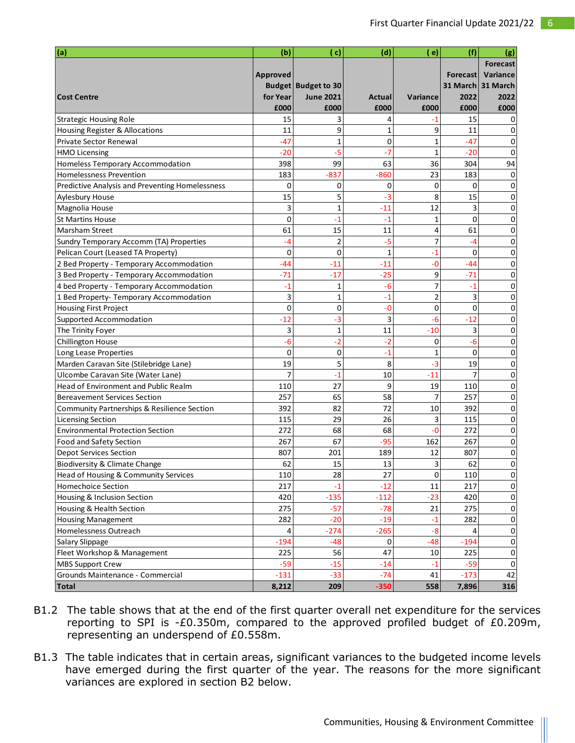| (a)                                             | (b)             | ( c)                       | (d)          | ( e)           | (f)            | (g)               |
|-------------------------------------------------|-----------------|----------------------------|--------------|----------------|----------------|-------------------|
|                                                 |                 |                            |              |                |                | <b>Forecast</b>   |
|                                                 | <b>Approved</b> |                            |              |                | Forecast       | Variance          |
|                                                 |                 | <b>Budget Budget to 30</b> |              |                |                | 31 March 31 March |
| <b>Cost Centre</b>                              | for Year        | <b>June 2021</b>           | Actual       | Variance       | 2022           | 2022              |
|                                                 | £000            | £000                       | £000         | £000           | £000           | £000              |
| <b>Strategic Housing Role</b>                   | 15              | 3                          | 4            | -1             | 15             |                   |
| Housing Register & Allocations                  | 11              | 9                          | 1            | 9              | 11             | 0                 |
| <b>Private Sector Renewal</b>                   | $-47$           | $\mathbf{1}$               | $\mathbf 0$  | 1              | $-47$          | 0                 |
| <b>HMO Licensing</b>                            | -20             | -5                         | -7           | $\mathbf{1}$   | -20            | 0                 |
| <b>Homeless Temporary Accommodation</b>         | 398             | 99                         | 63           | 36             | 304            | 94                |
| <b>Homelessness Prevention</b>                  | 183             | $-837$                     | $-860$       | 23             | 183            | 0                 |
| Predictive Analysis and Preventing Homelessness | 0               | 0                          | 0            | $\mathbf 0$    | 0              | 0                 |
| <b>Aylesbury House</b>                          | 15              | 5                          | -3           | 8              | 15             | 0                 |
| Magnolia House                                  | 3               | $\mathbf{1}$               | $-11$        | 12             | 3              | 0                 |
| <b>St Martins House</b>                         | 0               | $-1$                       | $-1$         | 1              | $\Omega$       | 0                 |
| Marsham Street                                  | 61              | 15                         | 11           | 4              | 61             | 0                 |
| Sundry Temporary Accomm (TA) Properties         | -4              | $\overline{2}$             | -5           | 7              | -4             | 0                 |
| Pelican Court (Leased TA Property)              | 0               | $\mathbf 0$                | $\mathbf{1}$ | $-1$           | 0              | 0                 |
| 2 Bed Property - Temporary Accommodation        | $-44$           | -11                        | $-11$        | -0             | $-44$          | 0                 |
| 3 Bed Property - Temporary Accommodation        | $-71$           | $-17$                      | $-25$        | 9              | $-71$          | 0                 |
| 4 bed Property - Temporary Accommodation        | $-1$            | 1                          | $-6$         | 7              | $-1$           | 0                 |
| 1 Bed Property- Temporary Accommodation         | 3               | $\mathbf{1}$               | $-1$         | $\overline{2}$ | 3              | 0                 |
| <b>Housing First Project</b>                    | 0               | 0                          | $-0$         | 0              | 0              | 0                 |
| Supported Accommodation                         | $-12$           | $-3$                       | 3            | -6             | $-12$          | 0                 |
| The Trinity Foyer                               | 3               | $\mathbf{1}$               | 11           | $-10$          | 3              | 0                 |
| Chillington House                               | $-6$            | $-2$                       | $-2$         | 0              | -6             | 0                 |
| Long Lease Properties                           | 0               | 0                          | $-1$         | 1              | $\Omega$       | 0                 |
| Marden Caravan Site (Stilebridge Lane)          | 19              | 5                          | 8            | -3             | 19             | 0                 |
| Ulcombe Caravan Site (Water Lane)               | $\overline{7}$  | $-1$                       | 10           | $-11$          | $\overline{7}$ | 0                 |
| Head of Environment and Public Realm            | 110             | 27                         | 9            | 19             | 110            | 0                 |
| <b>Bereavement Services Section</b>             | 257             | 65                         | 58           | 7              | 257            | 0                 |
| Community Partnerships & Resilience Section     | 392             | 82                         | 72           | 10             | 392            | 0                 |
| <b>Licensing Section</b>                        | 115             | 29                         | 26           | 3              | 115            | 0                 |
| <b>Environmental Protection Section</b>         | 272             | 68                         | 68           | -0             | 272            | 0                 |
| Food and Safety Section                         | 267             | 67                         | $-95$        | 162            | 267            | 0                 |
| <b>Depot Services Section</b>                   | 807             | 201                        | 189          | 12             | 807            | 0                 |
| <b>Biodiversity &amp; Climate Change</b>        | 62              | 15                         | 13           | $\mathbf{a}$   | 62             | $\Omega$          |
| Head of Housing & Community Services            | 110             | 28                         | 27           | 0              | 110            | 0                 |
| <b>Homechoice Section</b>                       | 217             | $-1$                       | $-12$        | 11             | 217            | 0                 |
| Housing & Inclusion Section                     | 420             | $-135$                     | $-112$       | $-23$          | 420            | 0                 |
| Housing & Health Section                        | 275             | $-57$                      | $-78$        | 21             | 275            | 0                 |
| <b>Housing Management</b>                       | 282             | $-20$                      | $-19$        | -1             | 282            | 0                 |
| Homelessness Outreach                           | 4               | $-274$                     | $-265$       | $-8$           | 4              | 0                 |
| Salary Slippage                                 | $-194$          | $-48$                      | 0            | $-48$          | $-194$         | 0                 |
| Fleet Workshop & Management                     | 225             | 56                         | 47           | 10             | 225            | 0                 |
| <b>MBS Support Crew</b>                         | $-59$           | $-15$                      | $-14$        | $-1$           | $-59$          | 0                 |
| Grounds Maintenance - Commercial                | $-131$          | $-33$                      | $-74$        | 41             | $-173$         | 42                |
| <b>Total</b>                                    | 8,212           | 209                        | $-350$       | 558            | 7,896          | 316               |

- B1.2 The table shows that at the end of the first quarter overall net expenditure for the services reporting to SPI is -£0.350m, compared to the approved profiled budget of £0.209m, representing an underspend of £0.558m.
- B1.3 The table indicates that in certain areas, significant variances to the budgeted income levels have emerged during the first quarter of the year. The reasons for the more significant variances are explored in section B2 below.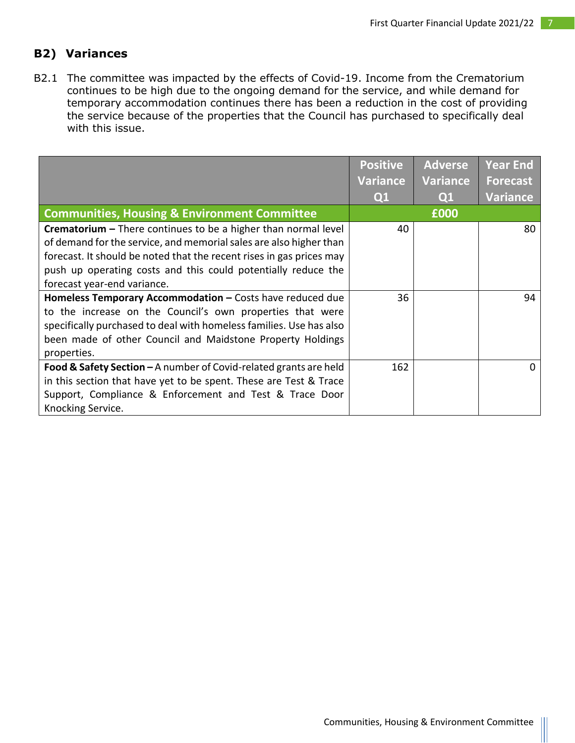### **B2) Variances**

B2.1 The committee was impacted by the effects of Covid-19. Income from the Crematorium continues to be high due to the ongoing demand for the service, and while demand for temporary accommodation continues there has been a reduction in the cost of providing the service because of the properties that the Council has purchased to specifically deal with this issue.

|                                                                         | <b>Positive</b> | <b>Adverse</b>  | Year End        |
|-------------------------------------------------------------------------|-----------------|-----------------|-----------------|
|                                                                         | Variance        | <b>Variance</b> | <b>Forecast</b> |
|                                                                         | Q1              | Q1              | <b>Variance</b> |
| <b>Communities, Housing &amp; Environment Committee</b>                 |                 | £000            |                 |
| <b>Crematorium</b> $-$ There continues to be a higher than normal level | 40              |                 | 80              |
| of demand for the service, and memorial sales are also higher than      |                 |                 |                 |
| forecast. It should be noted that the recent rises in gas prices may    |                 |                 |                 |
| push up operating costs and this could potentially reduce the           |                 |                 |                 |
| forecast year-end variance.                                             |                 |                 |                 |
| Homeless Temporary Accommodation - Costs have reduced due               | 36              |                 | 94              |
| to the increase on the Council's own properties that were               |                 |                 |                 |
| specifically purchased to deal with homeless families. Use has also     |                 |                 |                 |
| been made of other Council and Maidstone Property Holdings              |                 |                 |                 |
| properties.                                                             |                 |                 |                 |
| Food & Safety Section $-A$ number of Covid-related grants are held      | 162             |                 | $\Omega$        |
| in this section that have yet to be spent. These are Test & Trace       |                 |                 |                 |
| Support, Compliance & Enforcement and Test & Trace Door                 |                 |                 |                 |
| Knocking Service.                                                       |                 |                 |                 |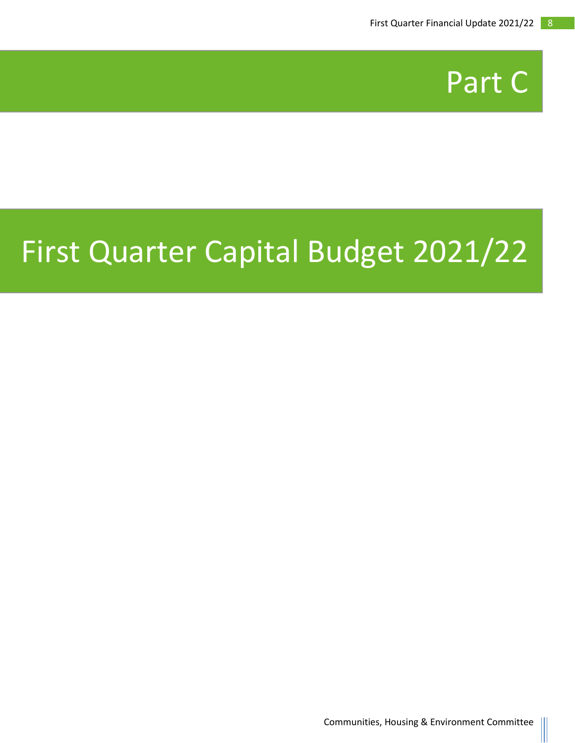

## First Quarter Capital Budget 2021/22